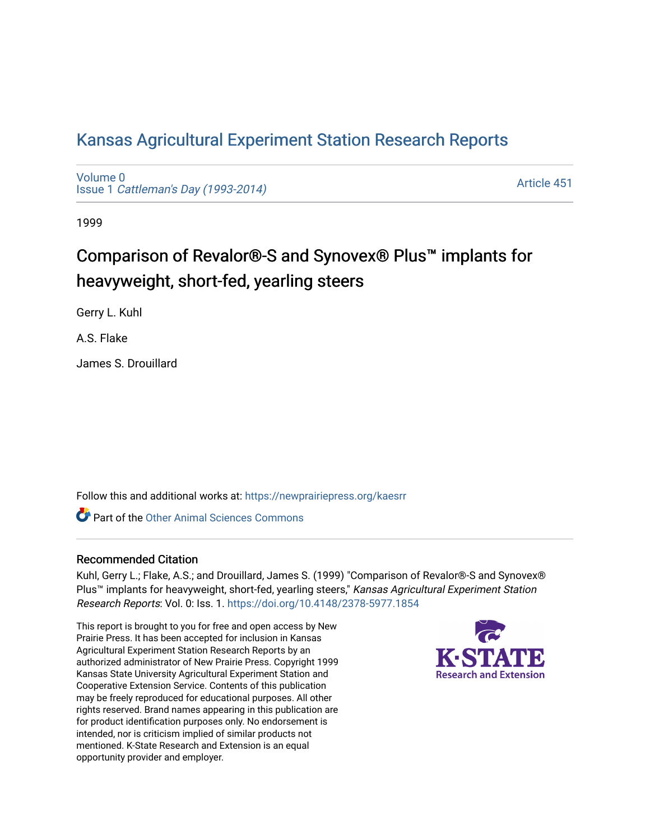# [Kansas Agricultural Experiment Station Research Reports](https://newprairiepress.org/kaesrr)

[Volume 0](https://newprairiepress.org/kaesrr/vol0) Issue 1 [Cattleman's Day \(1993-2014\)](https://newprairiepress.org/kaesrr/vol0/iss1) 

[Article 451](https://newprairiepress.org/kaesrr/vol0/iss1/451) 

1999

# Comparison of Revalor®-S and Synovex® Plus™ implants for heavyweight, short-fed, yearling steers

Gerry L. Kuhl

A.S. Flake

James S. Drouillard

Follow this and additional works at: [https://newprairiepress.org/kaesrr](https://newprairiepress.org/kaesrr?utm_source=newprairiepress.org%2Fkaesrr%2Fvol0%2Fiss1%2F451&utm_medium=PDF&utm_campaign=PDFCoverPages) 

**C** Part of the [Other Animal Sciences Commons](http://network.bepress.com/hgg/discipline/82?utm_source=newprairiepress.org%2Fkaesrr%2Fvol0%2Fiss1%2F451&utm_medium=PDF&utm_campaign=PDFCoverPages)

## Recommended Citation

Kuhl, Gerry L.; Flake, A.S.; and Drouillard, James S. (1999) "Comparison of Revalor®-S and Synovex® Plus<sup>™</sup> implants for heavyweight, short-fed, yearling steers," Kansas Agricultural Experiment Station Research Reports: Vol. 0: Iss. 1.<https://doi.org/10.4148/2378-5977.1854>

This report is brought to you for free and open access by New Prairie Press. It has been accepted for inclusion in Kansas Agricultural Experiment Station Research Reports by an authorized administrator of New Prairie Press. Copyright 1999 Kansas State University Agricultural Experiment Station and Cooperative Extension Service. Contents of this publication may be freely reproduced for educational purposes. All other rights reserved. Brand names appearing in this publication are for product identification purposes only. No endorsement is intended, nor is criticism implied of similar products not mentioned. K-State Research and Extension is an equal opportunity provider and employer.

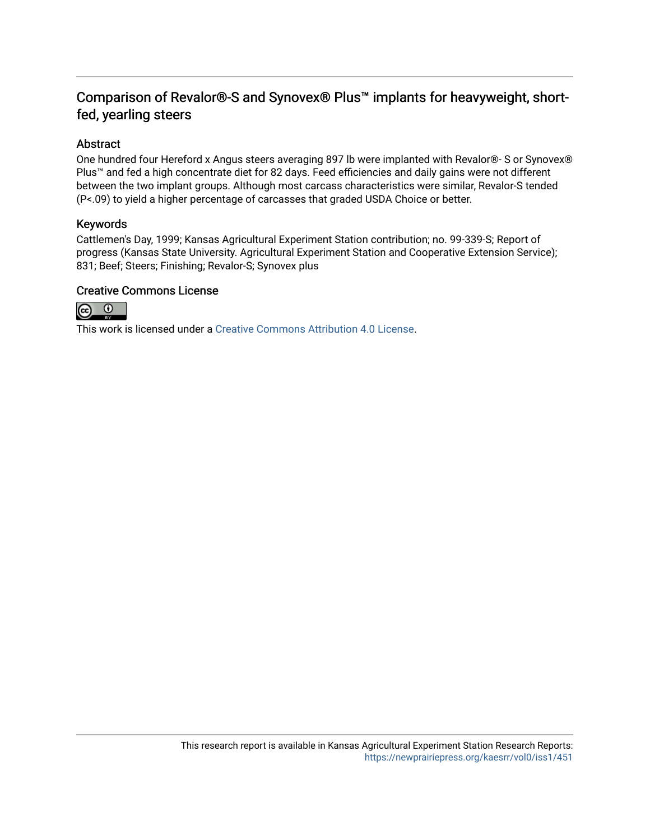# Comparison of Revalor®-S and Synovex® Plus™ implants for heavyweight, shortfed, yearling steers

## Abstract

One hundred four Hereford x Angus steers averaging 897 lb were implanted with Revalor®- S or Synovex® Plus™ and fed a high concentrate diet for 82 days. Feed efficiencies and daily gains were not different between the two implant groups. Although most carcass characteristics were similar, Revalor-S tended (P<.09) to yield a higher percentage of carcasses that graded USDA Choice or better.

## Keywords

Cattlemen's Day, 1999; Kansas Agricultural Experiment Station contribution; no. 99-339-S; Report of progress (Kansas State University. Agricultural Experiment Station and Cooperative Extension Service); 831; Beef; Steers; Finishing; Revalor-S; Synovex plus

## Creative Commons License



This work is licensed under a [Creative Commons Attribution 4.0 License](https://creativecommons.org/licenses/by/4.0/).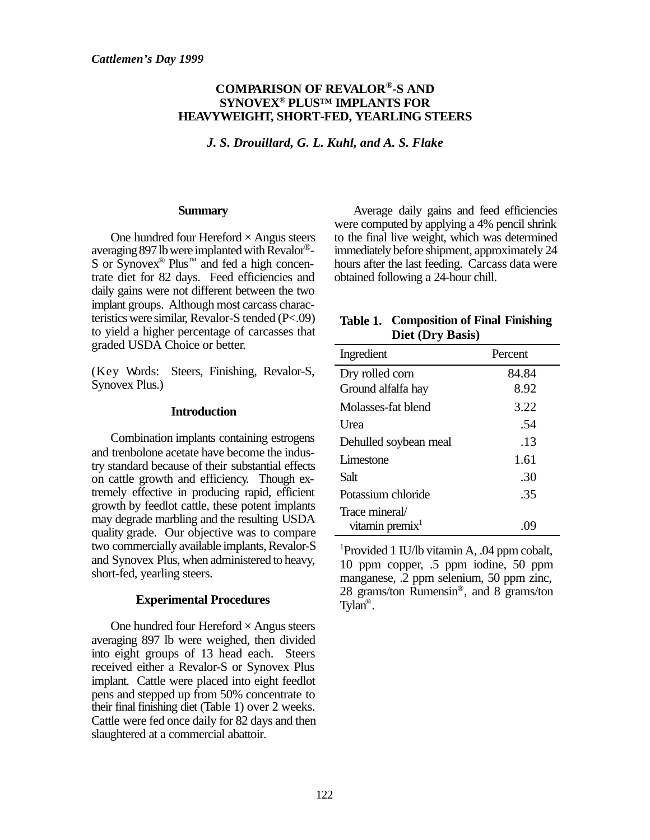## **COMPARISON OF REVALOR®-S AND SYNOVEX® PLUS™ IMPLANTS FOR HEAVYWEIGHT, SHORT-FED, YEARLING STEERS**

*J. S. Drouillard, G. L. Kuhl, and A. S. Flake*

#### **Summary**

One hundred four Hereford  $\times$  Angus steers averaging 897 lb were implanted with Revalor®- S or  $\text{Symover}^{\circledR}$  Plus<sup>™</sup> and fed a high concentrate diet for 82 days. Feed efficiencies and daily gains were not different between the two implant groups. Although most carcass characteristics were similar, Revalor-S tended (P<.09) to yield a higher percentage of carcasses that graded USDA Choice or better.

(Key Words: Steers, Finishing, Revalor-S, Synovex Plus.)

#### **Introduction**

Combination implants containing estrogens and trenbolone acetate have become the industry standard because of their substantial effects on cattle growth and efficiency. Though extremely effective in producing rapid, efficient growth by feedlot cattle, these potent implants may degrade marbling and the resulting USDA quality grade. Our objective was to compare two commercially available implants, Revalor-S and Synovex Plus, when administered to heavy, short-fed, yearling steers.

#### **Experimental Procedures**

One hundred four Hereford  $\times$  Angus steers averaging 897 lb were weighed, then divided into eight groups of 13 head each. Steers received either a Revalor-S or Synovex Plus implant. Cattle were placed into eight feedlot pens and stepped up from 50% concentrate to their final finishing diet (Table 1) over 2 weeks. Cattle were fed once daily for 82 days and then slaughtered at a commercial abattoir.

Average daily gains and feed efficiencies were computed by applying a 4% pencil shrink to the final live weight, which was determined immediately before shipment, approximately 24 hours after the last feeding. Carcass data were obtained following a 24-hour chill.

## **Table 1. Composition of Final Finishing Diet (Dry Basis)**

| Ingredient                  | Percent |  |
|-----------------------------|---------|--|
| Dry rolled corn             | 84.84   |  |
| Ground alfalfa hay          | 8.92    |  |
| Molasses-fat blend          | 3.22    |  |
| Urea                        | .54     |  |
| Dehulled soybean meal       | .13     |  |
| Limestone                   | 1.61    |  |
| Salt                        | .30     |  |
| Potassium chloride          | .35     |  |
| Trace mineral/              |         |  |
| vitamin premix <sup>1</sup> |         |  |

<sup>1</sup>Provided 1 IU/lb vitamin A, .04 ppm cobalt, 10 ppm copper, .5 ppm iodine, 50 ppm manganese, .2 ppm selenium, 50 ppm zinc, 28 grams/ton Rumensin® , and 8 grams/ton Tylan® .